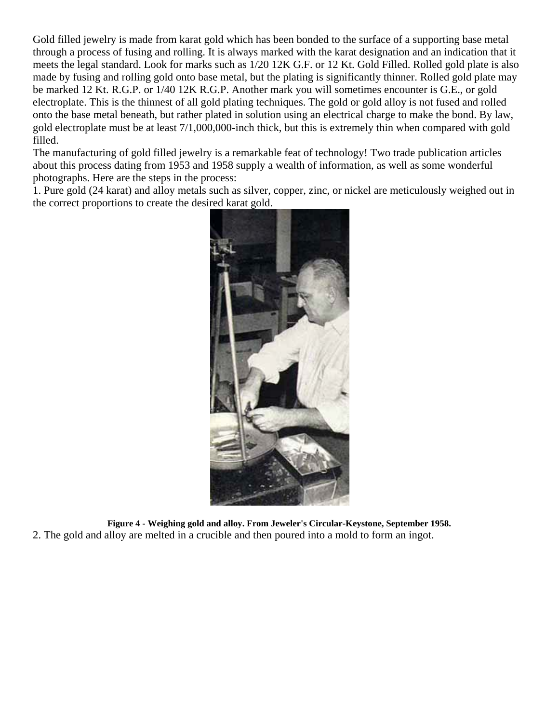Gold filled jewelry is made from karat gold which has been bonded to the surface of a supporting base metal through a process of fusing and rolling. It is always marked with the karat designation and an indication that it meets the legal standard. Look for marks such as 1/20 12K G.F. or 12 Kt. Gold Filled. Rolled gold plate is also made by fusing and rolling gold onto base metal, but the plating is significantly thinner. Rolled gold plate may be marked 12 Kt. R.G.P. or 1/40 12K R.G.P. Another mark you will sometimes encounter is G.E., or gold electroplate. This is the thinnest of all gold plating techniques. The gold or gold alloy is not fused and rolled onto the base metal beneath, but rather plated in solution using an electrical charge to make the bond. By law, gold electroplate must be at least 7/1,000,000-inch thick, but this is extremely thin when compared with gold filled.

The manufacturing of gold filled jewelry is a remarkable feat of technology! Two trade publication articles about this process dating from 1953 and 1958 supply a wealth of information, as well as some wonderful photographs. Here are the steps in the process:

1. Pure gold (24 karat) and alloy metals such as silver, copper, zinc, or nickel are meticulously weighed out in the correct proportions to create the desired karat gold.



**Figure 4 - Weighing gold and alloy. From Jeweler's Circular-Keystone, September 1958.** 2. The gold and alloy are melted in a crucible and then poured into a mold to form an ingot.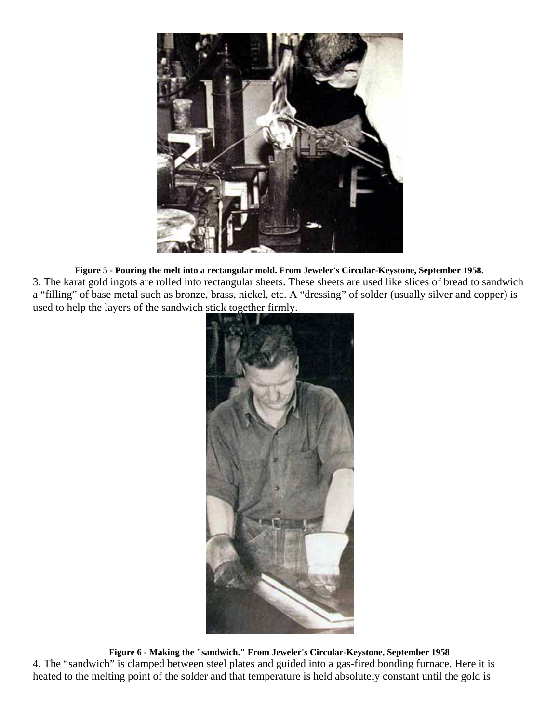

**Figure 5 - Pouring the melt into a rectangular mold. From Jeweler's Circular-Keystone, September 1958.** 3. The karat gold ingots are rolled into rectangular sheets. These sheets are used like slices of bread to sandwich a "filling" of base metal such as bronze, brass, nickel, etc. A "dressing" of solder (usually silver and copper) is used to help the layers of the sandwich stick together firmly.



**Figure 6 - Making the "sandwich." From Jeweler's Circular-Keystone, September 1958** 4. The "sandwich" is clamped between steel plates and guided into a gas-fired bonding furnace. Here it is heated to the melting point of the solder and that temperature is held absolutely constant until the gold is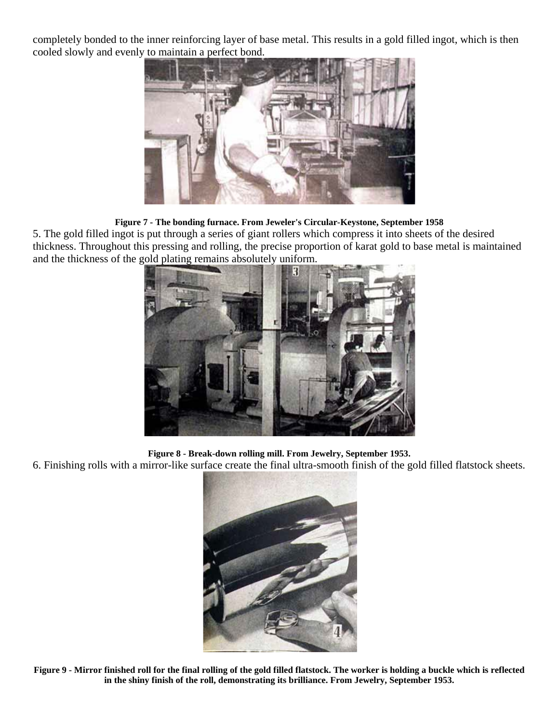completely bonded to the inner reinforcing layer of base metal. This results in a gold filled ingot, which is then cooled slowly and evenly to maintain a perfect bond.



## **Figure 7 - The bonding furnace. From Jeweler's Circular-Keystone, September 1958**

5. The gold filled ingot is put through a series of giant rollers which compress it into sheets of the desired thickness. Throughout this pressing and rolling, the precise proportion of karat gold to base metal is maintained and the thickness of the gold plating remains absolutely uniform.



**Figure 8 - Break-down rolling mill. From Jewelry, September 1953.**

6. Finishing rolls with a mirror-like surface create the final ultra-smooth finish of the gold filled flatstock sheets.



**Figure 9 - Mirror finished roll for the final rolling of the gold filled flatstock. The worker is holding a buckle which is reflected in the shiny finish of the roll, demonstrating its brilliance. From Jewelry, September 1953.**